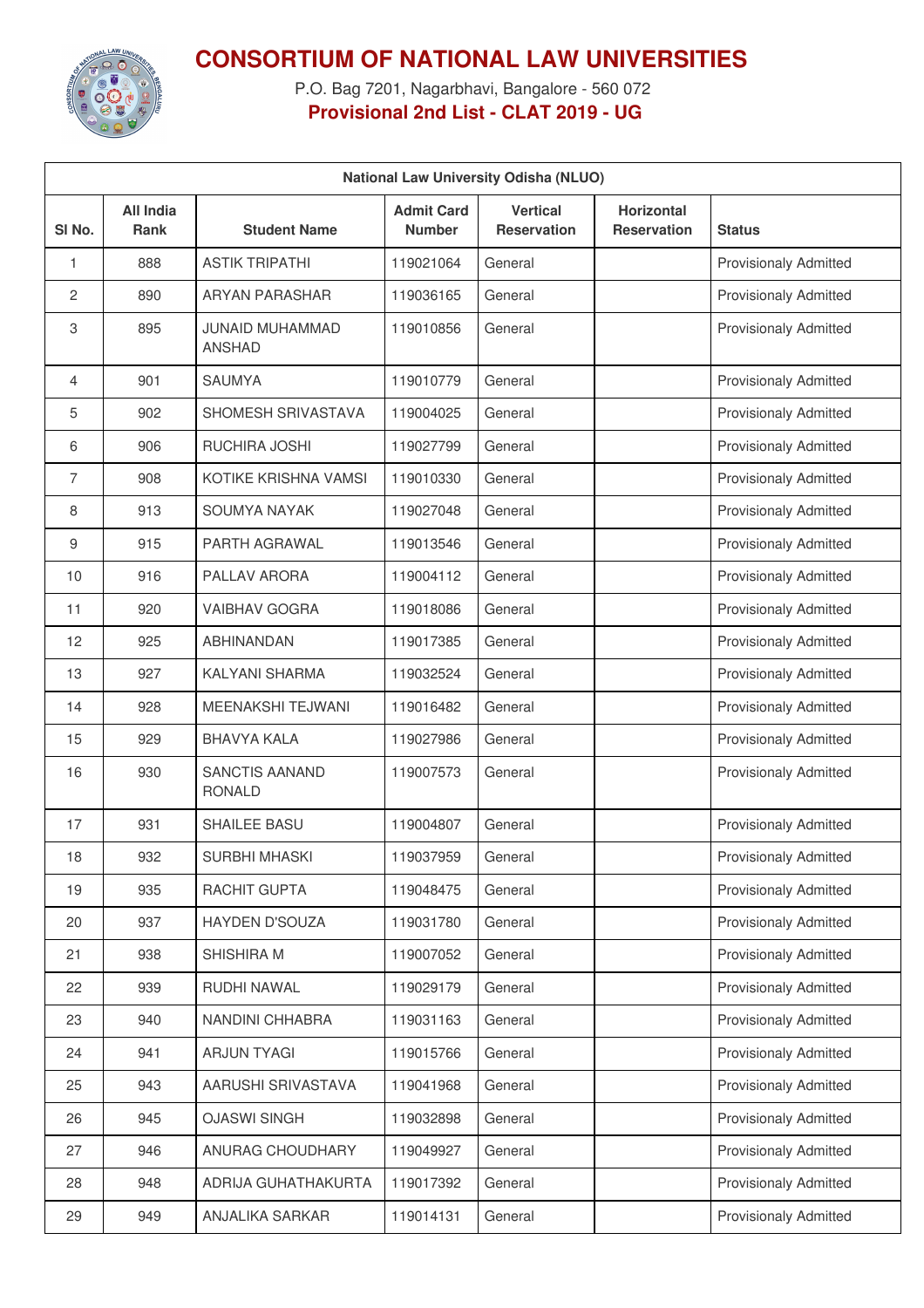

**CONSORTIUM OF NATIONAL LAW UNIVERSITIES**

P.O. Bag 7201, Nagarbhavi, Bangalore - 560 072 **Provisional 2nd List - CLAT 2019 - UG**

| <b>National Law University Odisha (NLUO)</b> |                                 |                                         |                                    |                                       |                                         |                              |  |  |
|----------------------------------------------|---------------------------------|-----------------------------------------|------------------------------------|---------------------------------------|-----------------------------------------|------------------------------|--|--|
| SI No.                                       | <b>All India</b><br><b>Rank</b> | <b>Student Name</b>                     | <b>Admit Card</b><br><b>Number</b> | <b>Vertical</b><br><b>Reservation</b> | <b>Horizontal</b><br><b>Reservation</b> | <b>Status</b>                |  |  |
| 1                                            | 888                             | <b>ASTIK TRIPATHI</b>                   | 119021064                          | General                               |                                         | <b>Provisionaly Admitted</b> |  |  |
| 2                                            | 890                             | <b>ARYAN PARASHAR</b>                   | 119036165                          | General                               |                                         | <b>Provisionaly Admitted</b> |  |  |
| 3                                            | 895                             | <b>JUNAID MUHAMMAD</b><br><b>ANSHAD</b> | 119010856                          | General                               |                                         | <b>Provisionaly Admitted</b> |  |  |
| $\overline{4}$                               | 901                             | <b>SAUMYA</b>                           | 119010779                          | General                               |                                         | <b>Provisionaly Admitted</b> |  |  |
| 5                                            | 902                             | SHOMESH SRIVASTAVA                      | 119004025                          | General                               |                                         | <b>Provisionaly Admitted</b> |  |  |
| 6                                            | 906                             | <b>RUCHIRA JOSHI</b>                    | 119027799                          | General                               |                                         | Provisionaly Admitted        |  |  |
| $\overline{7}$                               | 908                             | KOTIKE KRISHNA VAMSI                    | 119010330                          | General                               |                                         | <b>Provisionaly Admitted</b> |  |  |
| 8                                            | 913                             | SOUMYA NAYAK                            | 119027048                          | General                               |                                         | <b>Provisionaly Admitted</b> |  |  |
| 9                                            | 915                             | PARTH AGRAWAL                           | 119013546                          | General                               |                                         | <b>Provisionaly Admitted</b> |  |  |
| 10                                           | 916                             | PALLAV ARORA                            | 119004112                          | General                               |                                         | Provisionaly Admitted        |  |  |
| 11                                           | 920                             | <b>VAIBHAV GOGRA</b>                    | 119018086                          | General                               |                                         | <b>Provisionaly Admitted</b> |  |  |
| 12                                           | 925                             | <b>ABHINANDAN</b>                       | 119017385                          | General                               |                                         | <b>Provisionaly Admitted</b> |  |  |
| 13                                           | 927                             | KALYANI SHARMA                          | 119032524                          | General                               |                                         | <b>Provisionaly Admitted</b> |  |  |
| 14                                           | 928                             | <b>MEENAKSHI TEJWANI</b>                | 119016482                          | General                               |                                         | Provisionaly Admitted        |  |  |
| 15                                           | 929                             | <b>BHAVYA KALA</b>                      | 119027986                          | General                               |                                         | <b>Provisionaly Admitted</b> |  |  |
| 16                                           | 930                             | <b>SANCTIS AANAND</b><br><b>RONALD</b>  | 119007573                          | General                               |                                         | <b>Provisionaly Admitted</b> |  |  |
| 17                                           | 931                             | SHAILEE BASU                            | 119004807                          | General                               |                                         | <b>Provisionaly Admitted</b> |  |  |
| 18                                           | 932                             | SURBHI MHASKI                           | 119037959                          | General                               |                                         | <b>Provisionaly Admitted</b> |  |  |
| 19                                           | 935                             | RACHIT GUPTA                            | 119048475                          | General                               |                                         | <b>Provisionaly Admitted</b> |  |  |
| 20                                           | 937                             | HAYDEN D'SOUZA                          | 119031780                          | General                               |                                         | <b>Provisionaly Admitted</b> |  |  |
| 21                                           | 938                             | SHISHIRA M                              | 119007052                          | General                               |                                         | <b>Provisionaly Admitted</b> |  |  |
| 22                                           | 939                             | RUDHI NAWAL                             | 119029179                          | General                               |                                         | <b>Provisionaly Admitted</b> |  |  |
| 23                                           | 940                             | NANDINI CHHABRA                         | 119031163                          | General                               |                                         | <b>Provisionaly Admitted</b> |  |  |
| 24                                           | 941                             | <b>ARJUN TYAGI</b>                      | 119015766                          | General                               |                                         | <b>Provisionaly Admitted</b> |  |  |
| 25                                           | 943                             | AARUSHI SRIVASTAVA                      | 119041968                          | General                               |                                         | <b>Provisionaly Admitted</b> |  |  |
| 26                                           | 945                             | <b>OJASWI SINGH</b>                     | 119032898                          | General                               |                                         | <b>Provisionaly Admitted</b> |  |  |
| 27                                           | 946                             | ANURAG CHOUDHARY                        | 119049927                          | General                               |                                         | <b>Provisionaly Admitted</b> |  |  |
| 28                                           | 948                             | ADRIJA GUHATHAKURTA                     | 119017392                          | General                               |                                         | <b>Provisionaly Admitted</b> |  |  |
| 29                                           | 949                             | ANJALIKA SARKAR                         | 119014131                          | General                               |                                         | Provisionaly Admitted        |  |  |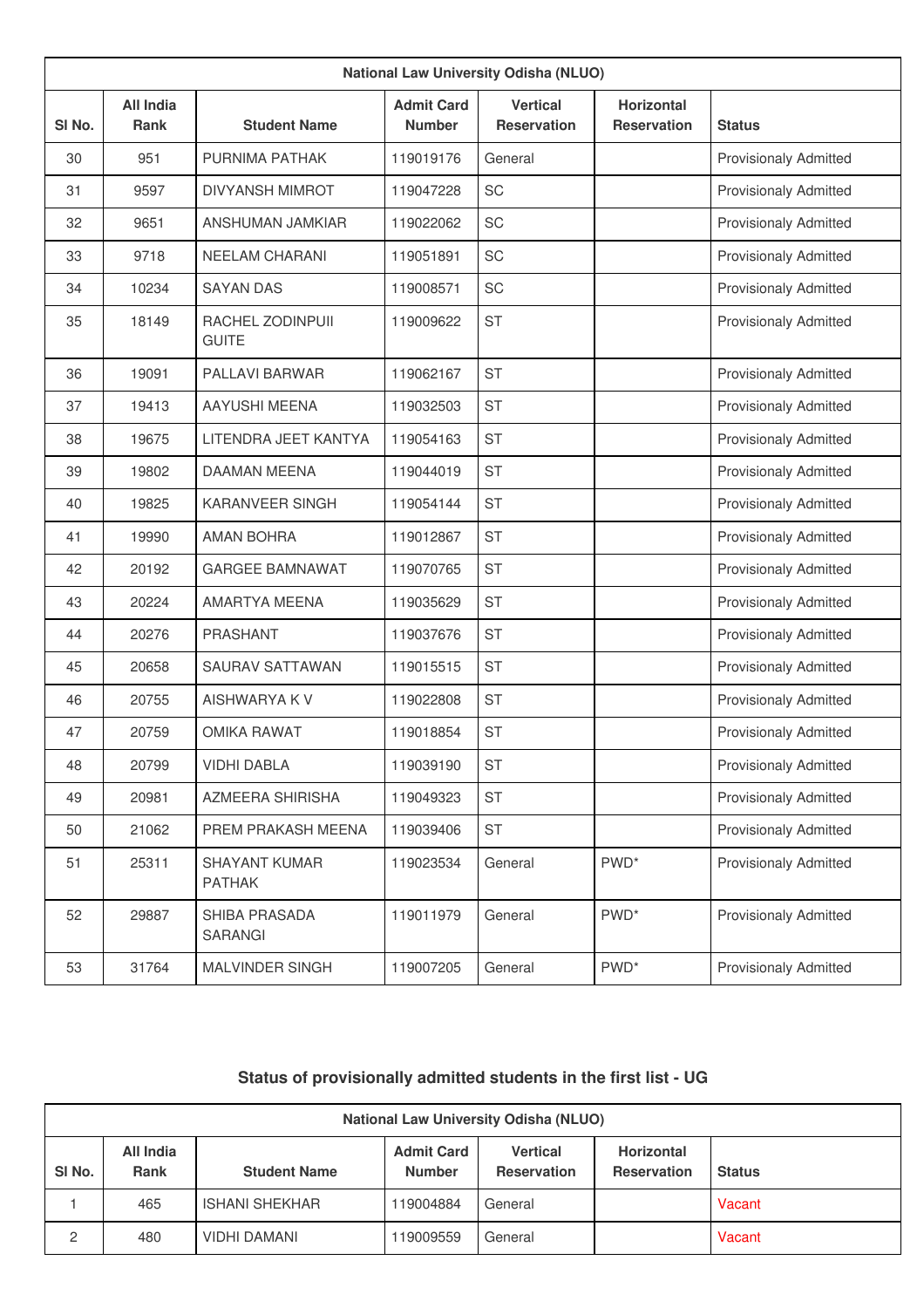| <b>National Law University Odisha (NLUO)</b> |                                 |                                       |                                    |                                       |                                         |                              |  |  |
|----------------------------------------------|---------------------------------|---------------------------------------|------------------------------------|---------------------------------------|-----------------------------------------|------------------------------|--|--|
| SI <sub>No.</sub>                            | <b>All India</b><br><b>Rank</b> | <b>Student Name</b>                   | <b>Admit Card</b><br><b>Number</b> | <b>Vertical</b><br><b>Reservation</b> | <b>Horizontal</b><br><b>Reservation</b> | <b>Status</b>                |  |  |
| 30                                           | 951                             | <b>PURNIMA PATHAK</b>                 | 119019176                          | General                               |                                         | <b>Provisionaly Admitted</b> |  |  |
| 31                                           | 9597                            | <b>DIVYANSH MIMROT</b>                | 119047228                          | SC                                    |                                         | <b>Provisionaly Admitted</b> |  |  |
| 32                                           | 9651                            | <b>ANSHUMAN JAMKIAR</b>               | 119022062                          | SC                                    |                                         | <b>Provisionaly Admitted</b> |  |  |
| 33                                           | 9718                            | <b>NEELAM CHARANI</b>                 | 119051891                          | SC                                    |                                         | <b>Provisionaly Admitted</b> |  |  |
| 34                                           | 10234                           | <b>SAYAN DAS</b>                      | 119008571                          | SC                                    |                                         | <b>Provisionaly Admitted</b> |  |  |
| 35                                           | 18149                           | RACHEL ZODINPUII<br><b>GUITE</b>      | 119009622                          | <b>ST</b>                             |                                         | <b>Provisionaly Admitted</b> |  |  |
| 36                                           | 19091                           | PALLAVI BARWAR                        | 119062167                          | <b>ST</b>                             |                                         | <b>Provisionaly Admitted</b> |  |  |
| 37                                           | 19413                           | AAYUSHI MEENA                         | 119032503                          | <b>ST</b>                             |                                         | <b>Provisionaly Admitted</b> |  |  |
| 38                                           | 19675                           | LITENDRA JEET KANTYA                  | 119054163                          | <b>ST</b>                             |                                         | <b>Provisionaly Admitted</b> |  |  |
| 39                                           | 19802                           | <b>DAAMAN MEENA</b>                   | 119044019                          | <b>ST</b>                             |                                         | <b>Provisionaly Admitted</b> |  |  |
| 40                                           | 19825                           | <b>KARANVEER SINGH</b>                | 119054144                          | <b>ST</b>                             |                                         | <b>Provisionaly Admitted</b> |  |  |
| 41                                           | 19990                           | <b>AMAN BOHRA</b>                     | 119012867                          | <b>ST</b>                             |                                         | <b>Provisionaly Admitted</b> |  |  |
| 42                                           | 20192                           | <b>GARGEE BAMNAWAT</b>                | 119070765                          | <b>ST</b>                             |                                         | <b>Provisionaly Admitted</b> |  |  |
| 43                                           | 20224                           | AMARTYA MEENA                         | 119035629                          | <b>ST</b>                             |                                         | <b>Provisionaly Admitted</b> |  |  |
| 44                                           | 20276                           | <b>PRASHANT</b>                       | 119037676                          | <b>ST</b>                             |                                         | <b>Provisionaly Admitted</b> |  |  |
| 45                                           | 20658                           | <b>SAURAV SATTAWAN</b>                | 119015515                          | <b>ST</b>                             |                                         | <b>Provisionaly Admitted</b> |  |  |
| 46                                           | 20755                           | AISHWARYA K V                         | 119022808                          | <b>ST</b>                             |                                         | <b>Provisionaly Admitted</b> |  |  |
| 47                                           | 20759                           | <b>OMIKA RAWAT</b>                    | 119018854                          | <b>ST</b>                             |                                         | <b>Provisionaly Admitted</b> |  |  |
| 48                                           | 20799                           | <b>VIDHI DABLA</b>                    | 119039190                          | <b>ST</b>                             |                                         | <b>Provisionaly Admitted</b> |  |  |
| 49                                           | 20981                           | <b>AZMEERA SHIRISHA</b>               | 119049323                          | <b>ST</b>                             |                                         | Provisionaly Admitted        |  |  |
| 50                                           | 21062                           | PREM PRAKASH MEENA                    | 119039406                          | <b>ST</b>                             |                                         | Provisionaly Admitted        |  |  |
| 51                                           | 25311                           | <b>SHAYANT KUMAR</b><br><b>PATHAK</b> | 119023534                          | General                               | PWD <sup>*</sup>                        | Provisionaly Admitted        |  |  |
| 52                                           | 29887                           | SHIBA PRASADA<br><b>SARANGI</b>       | 119011979                          | General                               | PWD <sup>*</sup>                        | <b>Provisionaly Admitted</b> |  |  |
| 53                                           | 31764                           | MALVINDER SINGH                       | 119007205                          | General                               | $\mathsf{PWD}^*$                        | Provisionaly Admitted        |  |  |

## **Status of provisionally admitted students in the first list - UG**

|                                                                                                                                                                                                | <b>National Law University Odisha (NLUO)</b> |                       |           |         |  |               |  |  |  |
|------------------------------------------------------------------------------------------------------------------------------------------------------------------------------------------------|----------------------------------------------|-----------------------|-----------|---------|--|---------------|--|--|--|
| <b>Admit Card</b><br><b>Vertical</b><br><b>Horizontal</b><br>All India<br>SI <sub>No.</sub><br><b>Number</b><br><b>Reservation</b><br><b>Rank</b><br><b>Student Name</b><br><b>Reservation</b> |                                              |                       |           |         |  | <b>Status</b> |  |  |  |
|                                                                                                                                                                                                | 465                                          | <b>ISHANI SHEKHAR</b> | 119004884 | General |  | Vacant        |  |  |  |
| 2                                                                                                                                                                                              | 480                                          | <b>VIDHI DAMANI</b>   | 19009559  | General |  | Vacant        |  |  |  |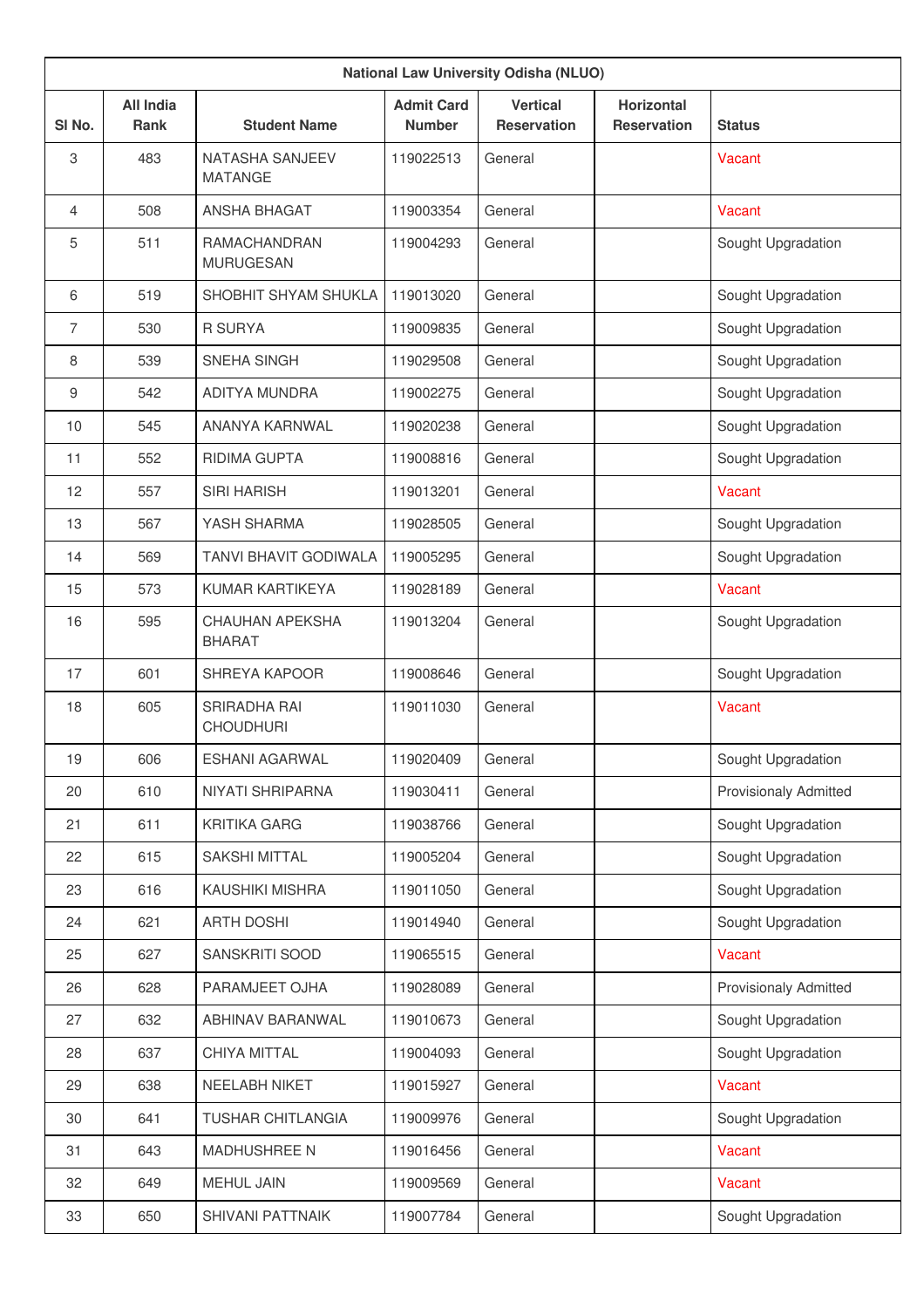|        | <b>National Law University Odisha (NLUO)</b> |                                          |                                    |                                       |                                         |                              |  |  |  |
|--------|----------------------------------------------|------------------------------------------|------------------------------------|---------------------------------------|-----------------------------------------|------------------------------|--|--|--|
| SI No. | <b>All India</b><br><b>Rank</b>              | <b>Student Name</b>                      | <b>Admit Card</b><br><b>Number</b> | <b>Vertical</b><br><b>Reservation</b> | <b>Horizontal</b><br><b>Reservation</b> | <b>Status</b>                |  |  |  |
| 3      | 483                                          | <b>NATASHA SANJEEV</b><br><b>MATANGE</b> | 119022513                          | General                               |                                         | Vacant                       |  |  |  |
| 4      | 508                                          | ANSHA BHAGAT                             | 119003354                          | General                               |                                         | Vacant                       |  |  |  |
| 5      | 511                                          | <b>RAMACHANDRAN</b><br><b>MURUGESAN</b>  | 119004293                          | General                               |                                         | Sought Upgradation           |  |  |  |
| 6      | 519                                          | SHOBHIT SHYAM SHUKLA                     | 119013020                          | General                               |                                         | Sought Upgradation           |  |  |  |
| 7      | 530                                          | <b>R SURYA</b>                           | 119009835                          | General                               |                                         | Sought Upgradation           |  |  |  |
| 8      | 539                                          | SNEHA SINGH                              | 119029508                          | General                               |                                         | Sought Upgradation           |  |  |  |
| 9      | 542                                          | ADITYA MUNDRA                            | 119002275                          | General                               |                                         | Sought Upgradation           |  |  |  |
| 10     | 545                                          | ANANYA KARNWAL                           | 119020238                          | General                               |                                         | Sought Upgradation           |  |  |  |
| 11     | 552                                          | <b>RIDIMA GUPTA</b>                      | 119008816                          | General                               |                                         | Sought Upgradation           |  |  |  |
| 12     | 557                                          | <b>SIRI HARISH</b>                       | 119013201                          | General                               |                                         | Vacant                       |  |  |  |
| 13     | 567                                          | YASH SHARMA                              | 119028505                          | General                               |                                         | Sought Upgradation           |  |  |  |
| 14     | 569                                          | <b>TANVI BHAVIT GODIWALA</b>             | 119005295                          | General                               |                                         | Sought Upgradation           |  |  |  |
| 15     | 573                                          | KUMAR KARTIKEYA                          | 119028189                          | General                               |                                         | Vacant                       |  |  |  |
| 16     | 595                                          | <b>CHAUHAN APEKSHA</b><br><b>BHARAT</b>  | 119013204                          | General                               |                                         | Sought Upgradation           |  |  |  |
| 17     | 601                                          | <b>SHREYA KAPOOR</b>                     | 119008646                          | General                               |                                         | Sought Upgradation           |  |  |  |
| 18     | 605                                          | SRIRADHA RAI<br><b>CHOUDHURI</b>         | 119011030                          | General                               |                                         | Vacant                       |  |  |  |
| 19     | 606                                          | <b>ESHANI AGARWAL</b>                    | 119020409                          | General                               |                                         | Sought Upgradation           |  |  |  |
| 20     | 610                                          | NIYATI SHRIPARNA                         | 119030411                          | General                               |                                         | <b>Provisionaly Admitted</b> |  |  |  |
| 21     | 611                                          | <b>KRITIKA GARG</b>                      | 119038766                          | General                               |                                         | Sought Upgradation           |  |  |  |
| 22     | 615                                          | SAKSHI MITTAL                            | 119005204                          | General                               |                                         | Sought Upgradation           |  |  |  |
| 23     | 616                                          | KAUSHIKI MISHRA                          | 119011050                          | General                               |                                         | Sought Upgradation           |  |  |  |
| 24     | 621                                          | <b>ARTH DOSHI</b>                        | 119014940                          | General                               |                                         | Sought Upgradation           |  |  |  |
| 25     | 627                                          | SANSKRITI SOOD                           | 119065515                          | General                               |                                         | Vacant                       |  |  |  |
| 26     | 628                                          | PARAMJEET OJHA                           | 119028089                          | General                               |                                         | Provisionaly Admitted        |  |  |  |
| 27     | 632                                          | ABHINAV BARANWAL                         | 119010673                          | General                               |                                         | Sought Upgradation           |  |  |  |
| 28     | 637                                          | CHIYA MITTAL                             | 119004093                          | General                               |                                         | Sought Upgradation           |  |  |  |
| 29     | 638                                          | NEELABH NIKET                            | 119015927                          | General                               |                                         | Vacant                       |  |  |  |
| 30     | 641                                          | TUSHAR CHITLANGIA                        | 119009976                          | General                               |                                         | Sought Upgradation           |  |  |  |
| 31     | 643                                          | <b>MADHUSHREE N</b>                      | 119016456                          | General                               |                                         | Vacant                       |  |  |  |
| 32     | 649                                          | <b>MEHUL JAIN</b>                        | 119009569                          | General                               |                                         | Vacant                       |  |  |  |
| 33     | 650                                          | SHIVANI PATTNAIK                         | 119007784                          | General                               |                                         | Sought Upgradation           |  |  |  |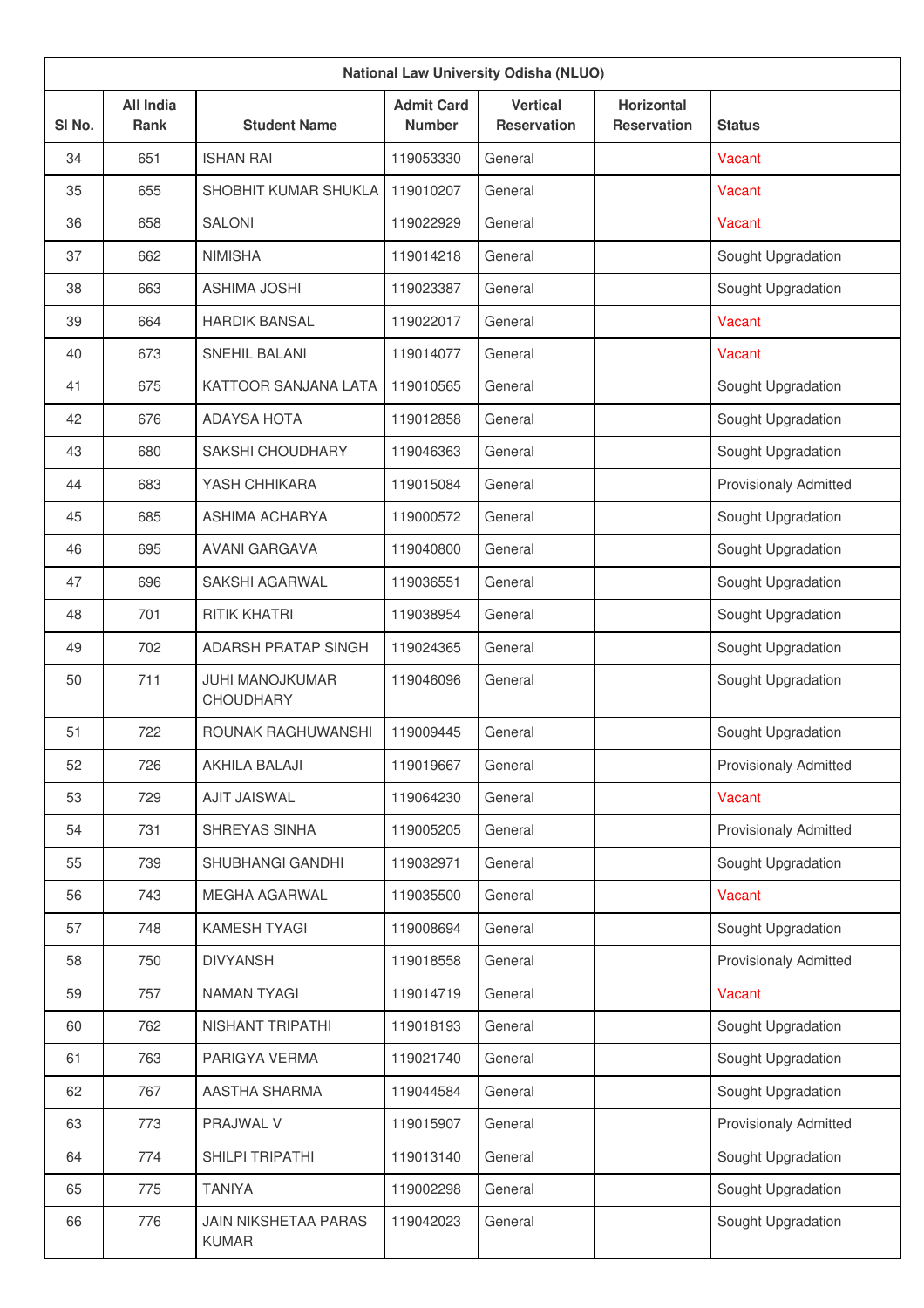| <b>National Law University Odisha (NLUO)</b> |                                 |                                             |                                    |                                       |                                         |                              |  |  |
|----------------------------------------------|---------------------------------|---------------------------------------------|------------------------------------|---------------------------------------|-----------------------------------------|------------------------------|--|--|
| SI No.                                       | <b>All India</b><br><b>Rank</b> | <b>Student Name</b>                         | <b>Admit Card</b><br><b>Number</b> | <b>Vertical</b><br><b>Reservation</b> | <b>Horizontal</b><br><b>Reservation</b> | <b>Status</b>                |  |  |
| 34                                           | 651                             | <b>ISHAN RAI</b>                            | 119053330                          | General                               |                                         | Vacant                       |  |  |
| 35                                           | 655                             | SHOBHIT KUMAR SHUKLA                        | 119010207                          | General                               |                                         | Vacant                       |  |  |
| 36                                           | 658                             | <b>SALONI</b>                               | 119022929                          | General                               |                                         | Vacant                       |  |  |
| 37                                           | 662                             | <b>NIMISHA</b>                              | 119014218                          | General                               |                                         | Sought Upgradation           |  |  |
| 38                                           | 663                             | <b>ASHIMA JOSHI</b>                         | 119023387                          | General                               |                                         | Sought Upgradation           |  |  |
| 39                                           | 664                             | <b>HARDIK BANSAL</b>                        | 119022017                          | General                               |                                         | Vacant                       |  |  |
| 40                                           | 673                             | <b>SNEHIL BALANI</b>                        | 119014077                          | General                               |                                         | Vacant                       |  |  |
| 41                                           | 675                             | KATTOOR SANJANA LATA                        | 119010565                          | General                               |                                         | Sought Upgradation           |  |  |
| 42                                           | 676                             | <b>ADAYSA HOTA</b>                          | 119012858                          | General                               |                                         | Sought Upgradation           |  |  |
| 43                                           | 680                             | SAKSHI CHOUDHARY                            | 119046363                          | General                               |                                         | Sought Upgradation           |  |  |
| 44                                           | 683                             | YASH CHHIKARA                               | 119015084                          | General                               |                                         | <b>Provisionaly Admitted</b> |  |  |
| 45                                           | 685                             | ASHIMA ACHARYA                              | 119000572                          | General                               |                                         | Sought Upgradation           |  |  |
| 46                                           | 695                             | <b>AVANI GARGAVA</b>                        | 119040800                          | General                               |                                         | Sought Upgradation           |  |  |
| 47                                           | 696                             | <b>SAKSHI AGARWAL</b>                       | 119036551                          | General                               |                                         | Sought Upgradation           |  |  |
| 48                                           | 701                             | <b>RITIK KHATRI</b>                         | 119038954                          | General                               |                                         | Sought Upgradation           |  |  |
| 49                                           | 702                             | <b>ADARSH PRATAP SINGH</b>                  | 119024365                          | General                               |                                         | Sought Upgradation           |  |  |
| 50                                           | 711                             | <b>JUHI MANOJKUMAR</b><br>CHOUDHARY         | 119046096                          | General                               |                                         | Sought Upgradation           |  |  |
| 51                                           | 722                             | ROUNAK RAGHUWANSHI                          | 119009445                          | General                               |                                         | Sought Upgradation           |  |  |
| 52                                           | 726                             | <b>AKHILA BALAJI</b>                        | 119019667                          | General                               |                                         | <b>Provisionaly Admitted</b> |  |  |
| 53                                           | 729                             | <b>AJIT JAISWAL</b>                         | 119064230                          | General                               |                                         | Vacant                       |  |  |
| 54                                           | 731                             | SHREYAS SINHA                               | 119005205                          | General                               |                                         | Provisionaly Admitted        |  |  |
| 55                                           | 739                             | SHUBHANGI GANDHI                            | 119032971                          | General                               |                                         | Sought Upgradation           |  |  |
| 56                                           | 743                             | MEGHA AGARWAL                               | 119035500                          | General                               |                                         | Vacant                       |  |  |
| 57                                           | 748                             | <b>KAMESH TYAGI</b>                         | 119008694                          | General                               |                                         | Sought Upgradation           |  |  |
| 58                                           | 750                             | <b>DIVYANSH</b>                             | 119018558                          | General                               |                                         | Provisionaly Admitted        |  |  |
| 59                                           | 757                             | <b>NAMAN TYAGI</b>                          | 119014719                          | General                               |                                         | Vacant                       |  |  |
| 60                                           | 762                             | NISHANT TRIPATHI                            | 119018193                          | General                               |                                         | Sought Upgradation           |  |  |
| 61                                           | 763                             | PARIGYA VERMA                               | 119021740                          | General                               |                                         | Sought Upgradation           |  |  |
| 62                                           | 767                             | AASTHA SHARMA                               | 119044584                          | General                               |                                         | Sought Upgradation           |  |  |
| 63                                           | 773                             | PRAJWAL V                                   | 119015907                          | General                               |                                         | Provisionaly Admitted        |  |  |
| 64                                           | 774                             | SHILPI TRIPATHI                             | 119013140                          | General                               |                                         | Sought Upgradation           |  |  |
| 65                                           | 775                             | <b>TANIYA</b>                               | 119002298                          | General                               |                                         | Sought Upgradation           |  |  |
| 66                                           | 776                             | <b>JAIN NIKSHETAA PARAS</b><br><b>KUMAR</b> | 119042023                          | General                               |                                         | Sought Upgradation           |  |  |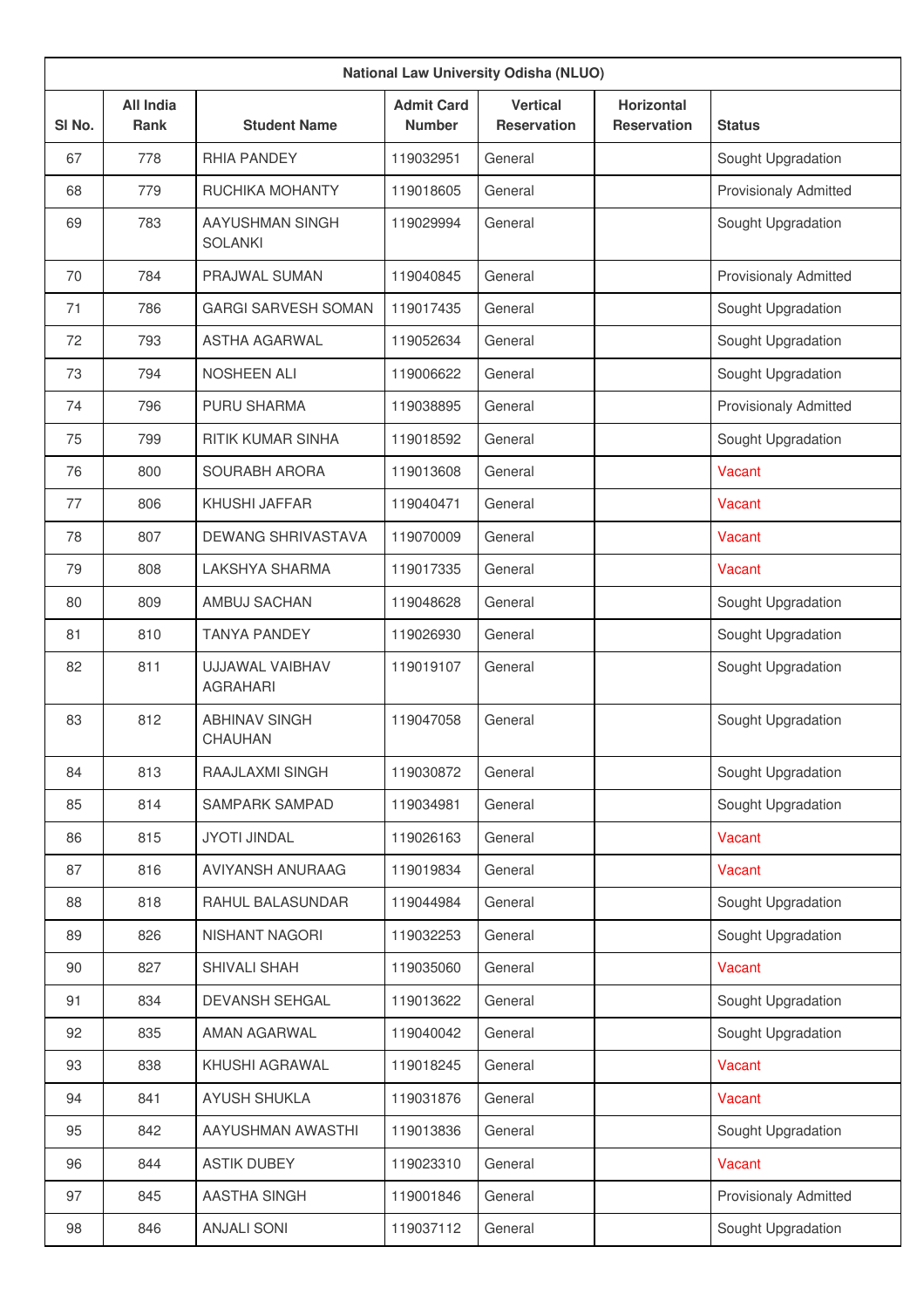|                   | <b>National Law University Odisha (NLUO)</b> |                                           |                                    |                                       |                                         |                              |  |  |
|-------------------|----------------------------------------------|-------------------------------------------|------------------------------------|---------------------------------------|-----------------------------------------|------------------------------|--|--|
| SI <sub>No.</sub> | <b>All India</b><br><b>Rank</b>              | <b>Student Name</b>                       | <b>Admit Card</b><br><b>Number</b> | <b>Vertical</b><br><b>Reservation</b> | <b>Horizontal</b><br><b>Reservation</b> | <b>Status</b>                |  |  |
| 67                | 778                                          | RHIA PANDEY                               | 119032951                          | General                               |                                         | Sought Upgradation           |  |  |
| 68                | 779                                          | RUCHIKA MOHANTY                           | 119018605                          | General                               |                                         | <b>Provisionaly Admitted</b> |  |  |
| 69                | 783                                          | AAYUSHMAN SINGH<br><b>SOLANKI</b>         | 119029994                          | General                               |                                         | Sought Upgradation           |  |  |
| 70                | 784                                          | PRAJWAL SUMAN                             | 119040845                          | General                               |                                         | <b>Provisionaly Admitted</b> |  |  |
| 71                | 786                                          | <b>GARGI SARVESH SOMAN</b>                | 119017435                          | General                               |                                         | Sought Upgradation           |  |  |
| 72                | 793                                          | <b>ASTHA AGARWAL</b>                      | 119052634                          | General                               |                                         | Sought Upgradation           |  |  |
| 73                | 794                                          | <b>NOSHEEN ALI</b>                        | 119006622                          | General                               |                                         | Sought Upgradation           |  |  |
| 74                | 796                                          | <b>PURU SHARMA</b>                        | 119038895                          | General                               |                                         | <b>Provisionaly Admitted</b> |  |  |
| 75                | 799                                          | <b>RITIK KUMAR SINHA</b>                  | 119018592                          | General                               |                                         | Sought Upgradation           |  |  |
| 76                | 800                                          | SOURABH ARORA                             | 119013608                          | General                               |                                         | Vacant                       |  |  |
| 77                | 806                                          | KHUSHI JAFFAR                             | 119040471                          | General                               |                                         | Vacant                       |  |  |
| 78                | 807                                          | <b>DEWANG SHRIVASTAVA</b>                 | 119070009                          | General                               |                                         | Vacant                       |  |  |
| 79                | 808                                          | LAKSHYA SHARMA                            | 119017335                          | General                               |                                         | Vacant                       |  |  |
| 80                | 809                                          | AMBUJ SACHAN                              | 119048628                          | General                               |                                         | Sought Upgradation           |  |  |
| 81                | 810                                          | <b>TANYA PANDEY</b>                       | 119026930                          | General                               |                                         | Sought Upgradation           |  |  |
| 82                | 811                                          | <b>UJJAWAL VAIBHAV</b><br><b>AGRAHARI</b> | 119019107                          | General                               |                                         | Sought Upgradation           |  |  |
| 83                | 812                                          | <b>ABHINAV SINGH</b><br><b>CHAUHAN</b>    | 119047058                          | General                               |                                         | Sought Upgradation           |  |  |
| 84                | 813                                          | RAAJLAXMI SINGH                           | 119030872                          | General                               |                                         | Sought Upgradation           |  |  |
| 85                | 814                                          | SAMPARK SAMPAD                            | 119034981                          | General                               |                                         | Sought Upgradation           |  |  |
| 86                | 815                                          | <b>JYOTI JINDAL</b>                       | 119026163                          | General                               |                                         | Vacant                       |  |  |
| 87                | 816                                          | AVIYANSH ANURAAG                          | 119019834                          | General                               |                                         | Vacant                       |  |  |
| 88                | 818                                          | RAHUL BALASUNDAR                          | 119044984                          | General                               |                                         | Sought Upgradation           |  |  |
| 89                | 826                                          | NISHANT NAGORI                            | 119032253                          | General                               |                                         | Sought Upgradation           |  |  |
| 90                | 827                                          | SHIVALI SHAH                              | 119035060                          | General                               |                                         | Vacant                       |  |  |
| 91                | 834                                          | DEVANSH SEHGAL                            | 119013622                          | General                               |                                         | Sought Upgradation           |  |  |
| 92                | 835                                          | AMAN AGARWAL                              | 119040042                          | General                               |                                         | Sought Upgradation           |  |  |
| 93                | 838                                          | KHUSHI AGRAWAL                            | 119018245                          | General                               |                                         | Vacant                       |  |  |
| 94                | 841                                          | <b>AYUSH SHUKLA</b>                       | 119031876                          | General                               |                                         | Vacant                       |  |  |
| 95                | 842                                          | AAYUSHMAN AWASTHI                         | 119013836                          | General                               |                                         | Sought Upgradation           |  |  |
| 96                | 844                                          | <b>ASTIK DUBEY</b>                        | 119023310                          | General                               |                                         | Vacant                       |  |  |
| 97                | 845                                          | <b>AASTHA SINGH</b>                       | 119001846                          | General                               |                                         | <b>Provisionaly Admitted</b> |  |  |
| 98                | 846                                          | <b>ANJALI SONI</b>                        | 119037112                          | General                               |                                         | Sought Upgradation           |  |  |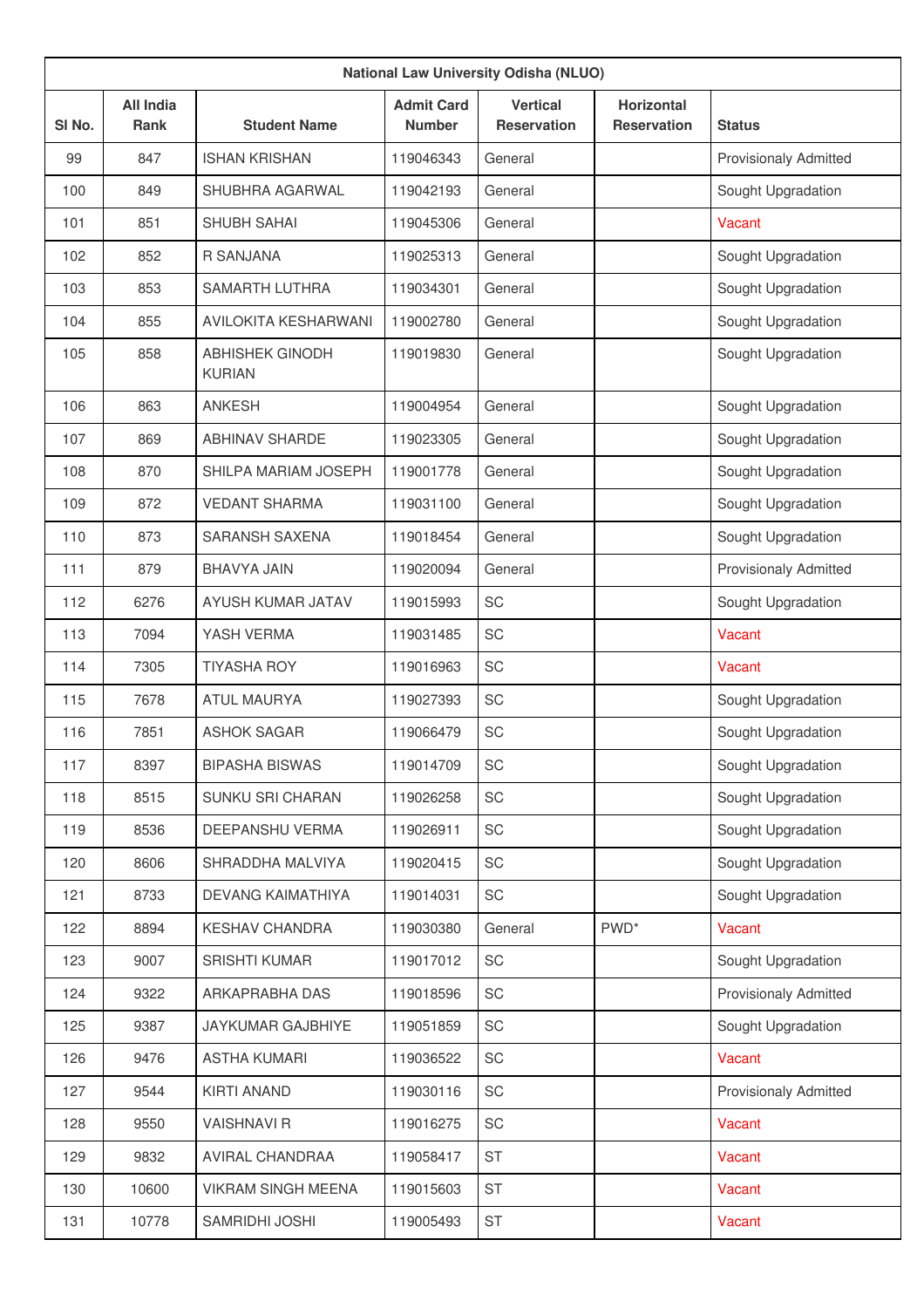|                   | <b>National Law University Odisha (NLUO)</b> |                                         |                                    |                                       |                                         |                              |  |  |  |
|-------------------|----------------------------------------------|-----------------------------------------|------------------------------------|---------------------------------------|-----------------------------------------|------------------------------|--|--|--|
| SI <sub>No.</sub> | <b>All India</b><br><b>Rank</b>              | <b>Student Name</b>                     | <b>Admit Card</b><br><b>Number</b> | <b>Vertical</b><br><b>Reservation</b> | <b>Horizontal</b><br><b>Reservation</b> | <b>Status</b>                |  |  |  |
| 99                | 847                                          | <b>ISHAN KRISHAN</b>                    | 119046343                          | General                               |                                         | <b>Provisionaly Admitted</b> |  |  |  |
| 100               | 849                                          | SHUBHRA AGARWAL                         | 119042193                          | General                               |                                         | Sought Upgradation           |  |  |  |
| 101               | 851                                          | SHUBH SAHAI                             | 119045306                          | General                               |                                         | Vacant                       |  |  |  |
| 102               | 852                                          | R SANJANA                               | 119025313                          | General                               |                                         | Sought Upgradation           |  |  |  |
| 103               | 853                                          | SAMARTH LUTHRA                          | 119034301                          | General                               |                                         | Sought Upgradation           |  |  |  |
| 104               | 855                                          | <b>AVILOKITA KESHARWANI</b>             | 119002780                          | General                               |                                         | Sought Upgradation           |  |  |  |
| 105               | 858                                          | <b>ABHISHEK GINODH</b><br><b>KURIAN</b> | 119019830                          | General                               |                                         | Sought Upgradation           |  |  |  |
| 106               | 863                                          | <b>ANKESH</b>                           | 119004954                          | General                               |                                         | Sought Upgradation           |  |  |  |
| 107               | 869                                          | <b>ABHINAV SHARDE</b>                   | 119023305                          | General                               |                                         | Sought Upgradation           |  |  |  |
| 108               | 870                                          | SHILPA MARIAM JOSEPH                    | 119001778                          | General                               |                                         | Sought Upgradation           |  |  |  |
| 109               | 872                                          | <b>VEDANT SHARMA</b>                    | 119031100                          | General                               |                                         | Sought Upgradation           |  |  |  |
| 110               | 873                                          | <b>SARANSH SAXENA</b>                   | 119018454                          | General                               |                                         | Sought Upgradation           |  |  |  |
| 111               | 879                                          | <b>BHAVYA JAIN</b>                      | 119020094                          | General                               |                                         | <b>Provisionaly Admitted</b> |  |  |  |
| 112               | 6276                                         | AYUSH KUMAR JATAV                       | 119015993                          | <b>SC</b>                             |                                         | Sought Upgradation           |  |  |  |
| 113               | 7094                                         | YASH VERMA                              | 119031485                          | <b>SC</b>                             |                                         | Vacant                       |  |  |  |
| 114               | 7305                                         | <b>TIYASHA ROY</b>                      | 119016963                          | <b>SC</b>                             |                                         | Vacant                       |  |  |  |
| 115               | 7678                                         | <b>ATUL MAURYA</b>                      | 119027393                          | SC                                    |                                         | Sought Upgradation           |  |  |  |
| 116               | 7851                                         | <b>ASHOK SAGAR</b>                      | 119066479                          | <b>SC</b>                             |                                         | Sought Upgradation           |  |  |  |
| 117               | 8397                                         | <b>BIPASHA BISWAS</b>                   | 119014709                          | SC                                    |                                         | Sought Upgradation           |  |  |  |
| 118               | 8515                                         | SUNKU SRI CHARAN                        | 119026258                          | SC                                    |                                         | Sought Upgradation           |  |  |  |
| 119               | 8536                                         | DEEPANSHU VERMA                         | 119026911                          | SC                                    |                                         | Sought Upgradation           |  |  |  |
| 120               | 8606                                         | SHRADDHA MALVIYA                        | 119020415                          | SC                                    |                                         | Sought Upgradation           |  |  |  |
| 121               | 8733                                         | DEVANG KAIMATHIYA                       | 119014031                          | SC                                    |                                         | Sought Upgradation           |  |  |  |
| 122               | 8894                                         | <b>KESHAV CHANDRA</b>                   | 119030380                          | General                               | PWD <sup>*</sup>                        | Vacant                       |  |  |  |
| 123               | 9007                                         | <b>SRISHTI KUMAR</b>                    | 119017012                          | SC                                    |                                         | Sought Upgradation           |  |  |  |
| 124               | 9322                                         | ARKAPRABHA DAS                          | 119018596                          | SC                                    |                                         | Provisionaly Admitted        |  |  |  |
| 125               | 9387                                         | JAYKUMAR GAJBHIYE                       | 119051859                          | SC                                    |                                         | Sought Upgradation           |  |  |  |
| 126               | 9476                                         | <b>ASTHA KUMARI</b>                     | 119036522                          | SC                                    |                                         | Vacant                       |  |  |  |
| 127               | 9544                                         | <b>KIRTI ANAND</b>                      | 119030116                          | SC                                    |                                         | Provisionaly Admitted        |  |  |  |
| 128               | 9550                                         | <b>VAISHNAVI R</b>                      | 119016275                          | SC                                    |                                         | Vacant                       |  |  |  |
| 129               | 9832                                         | AVIRAL CHANDRAA                         | 119058417                          | ST                                    |                                         | Vacant                       |  |  |  |
| 130               | 10600                                        | <b>VIKRAM SINGH MEENA</b>               | 119015603                          | <b>ST</b>                             |                                         | Vacant                       |  |  |  |
| 131               | 10778                                        | SAMRIDHI JOSHI                          | 119005493                          | ST                                    |                                         | Vacant                       |  |  |  |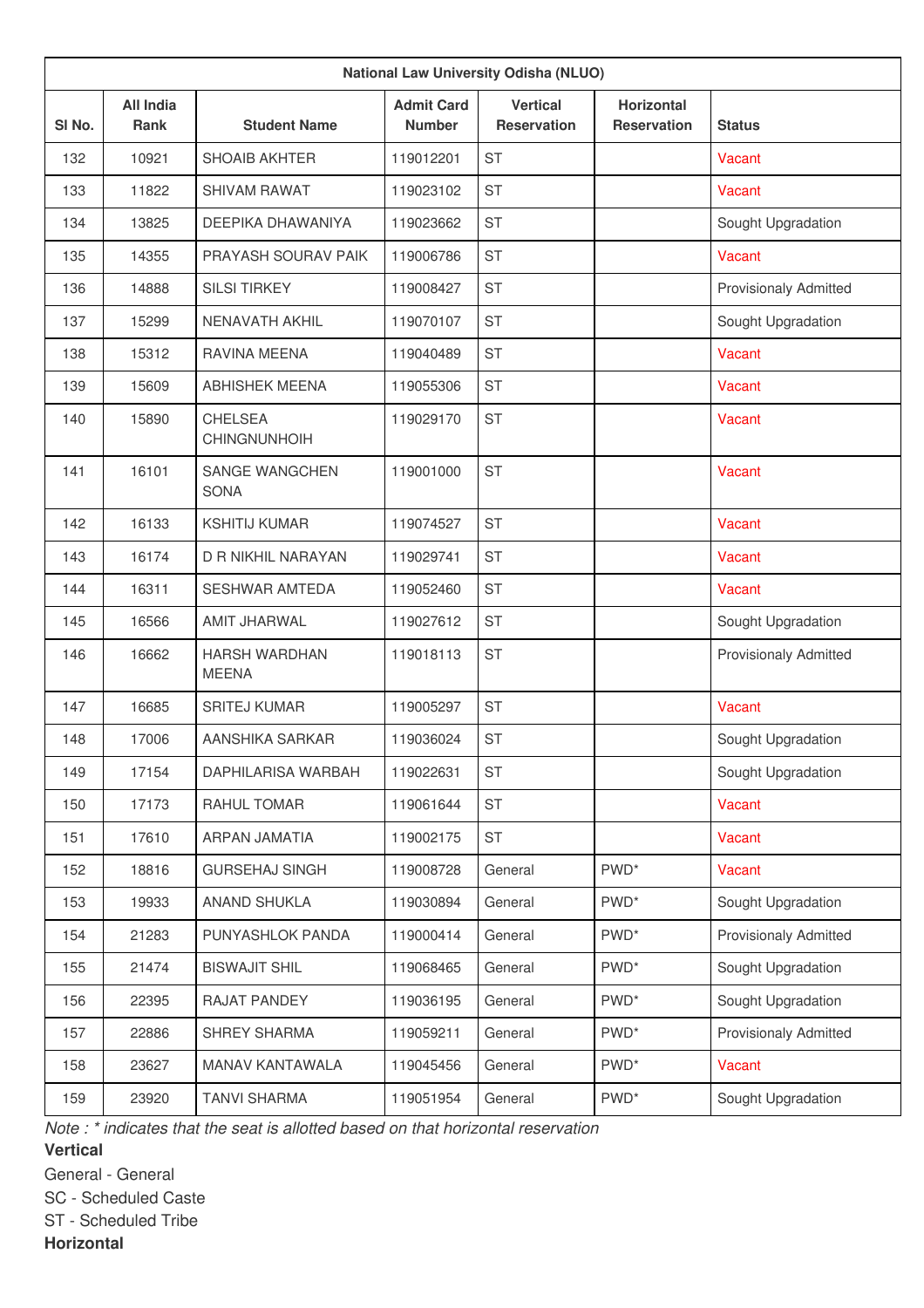| <b>National Law University Odisha (NLUO)</b> |                                 |                                      |                                    |                                       |                                         |                              |  |  |
|----------------------------------------------|---------------------------------|--------------------------------------|------------------------------------|---------------------------------------|-----------------------------------------|------------------------------|--|--|
| SI <sub>No.</sub>                            | <b>All India</b><br><b>Rank</b> | <b>Student Name</b>                  | <b>Admit Card</b><br><b>Number</b> | <b>Vertical</b><br><b>Reservation</b> | <b>Horizontal</b><br><b>Reservation</b> | <b>Status</b>                |  |  |
| 132                                          | 10921                           | <b>SHOAIB AKHTER</b>                 | 119012201                          | <b>ST</b>                             |                                         | Vacant                       |  |  |
| 133                                          | 11822                           | <b>SHIVAM RAWAT</b>                  | 119023102                          | <b>ST</b>                             |                                         | Vacant                       |  |  |
| 134                                          | 13825                           | DEEPIKA DHAWANIYA                    | 119023662                          | <b>ST</b>                             |                                         | Sought Upgradation           |  |  |
| 135                                          | 14355                           | PRAYASH SOURAV PAIK                  | 119006786                          | <b>ST</b>                             |                                         | Vacant                       |  |  |
| 136                                          | 14888                           | <b>SILSI TIRKEY</b>                  | 119008427                          | <b>ST</b>                             |                                         | <b>Provisionaly Admitted</b> |  |  |
| 137                                          | 15299                           | <b>NENAVATH AKHIL</b>                | 119070107                          | <b>ST</b>                             |                                         | Sought Upgradation           |  |  |
| 138                                          | 15312                           | <b>RAVINA MEENA</b>                  | 119040489                          | <b>ST</b>                             |                                         | Vacant                       |  |  |
| 139                                          | 15609                           | <b>ABHISHEK MEENA</b>                | 119055306                          | <b>ST</b>                             |                                         | Vacant                       |  |  |
| 140                                          | 15890                           | <b>CHELSEA</b><br>CHINGNUNHOIH       | 119029170                          | <b>ST</b>                             |                                         | Vacant                       |  |  |
| 141                                          | 16101                           | SANGE WANGCHEN<br><b>SONA</b>        | 119001000                          | <b>ST</b>                             |                                         | Vacant                       |  |  |
| 142                                          | 16133                           | <b>KSHITIJ KUMAR</b>                 | 119074527                          | <b>ST</b>                             |                                         | Vacant                       |  |  |
| 143                                          | 16174                           | D R NIKHIL NARAYAN                   | 119029741                          | <b>ST</b>                             |                                         | Vacant                       |  |  |
| 144                                          | 16311                           | <b>SESHWAR AMTEDA</b>                | 119052460                          | <b>ST</b>                             |                                         | Vacant                       |  |  |
| 145                                          | 16566                           | AMIT JHARWAL                         | 119027612                          | <b>ST</b>                             |                                         | Sought Upgradation           |  |  |
| 146                                          | 16662                           | <b>HARSH WARDHAN</b><br><b>MEENA</b> | 119018113                          | <b>ST</b>                             |                                         | <b>Provisionaly Admitted</b> |  |  |
| 147                                          | 16685                           | <b>SRITEJ KUMAR</b>                  | 119005297                          | <b>ST</b>                             |                                         | <b>Vacant</b>                |  |  |
| 148                                          | 17006                           | AANSHIKA SARKAR                      | 119036024                          | <b>ST</b>                             |                                         | Sought Upgradation           |  |  |
| 149                                          | 17154                           | DAPHILARISA WARBAH                   | 119022631                          | <b>ST</b>                             |                                         | Sought Upgradation           |  |  |
| 150                                          | 17173                           | RAHUL TOMAR                          | 119061644                          | <b>ST</b>                             |                                         | Vacant                       |  |  |
| 151                                          | 17610                           | ARPAN JAMATIA                        | 119002175                          | <b>ST</b>                             |                                         | Vacant                       |  |  |
| 152                                          | 18816                           | <b>GURSEHAJ SINGH</b>                | 119008728                          | General                               | PWD <sup>*</sup>                        | Vacant                       |  |  |
| 153                                          | 19933                           | ANAND SHUKLA                         | 119030894                          | General                               | PWD <sup>*</sup>                        | Sought Upgradation           |  |  |
| 154                                          | 21283                           | PUNYASHLOK PANDA                     | 119000414                          | General                               | PWD <sup>*</sup>                        | <b>Provisionaly Admitted</b> |  |  |
| 155                                          | 21474                           | <b>BISWAJIT SHIL</b>                 | 119068465                          | General                               | PWD <sup>*</sup>                        | Sought Upgradation           |  |  |
| 156                                          | 22395                           | <b>RAJAT PANDEY</b>                  | 119036195                          | General                               | PWD <sup>*</sup>                        | Sought Upgradation           |  |  |
| 157                                          | 22886                           | SHREY SHARMA                         | 119059211                          | General                               | PWD <sup>*</sup>                        | <b>Provisionaly Admitted</b> |  |  |
| 158                                          | 23627                           | <b>MANAV KANTAWALA</b>               | 119045456                          | General                               | PWD <sup>*</sup>                        | Vacant                       |  |  |
| 159                                          | 23920                           | <b>TANVI SHARMA</b>                  | 119051954                          | General                               | PWD <sup>*</sup>                        | Sought Upgradation           |  |  |

*Note : \* indicates that the seat is allotted based on that horizontal reservation*

**Vertical**

General - General

SC - Scheduled Caste

ST - Scheduled Tribe

**Horizontal**